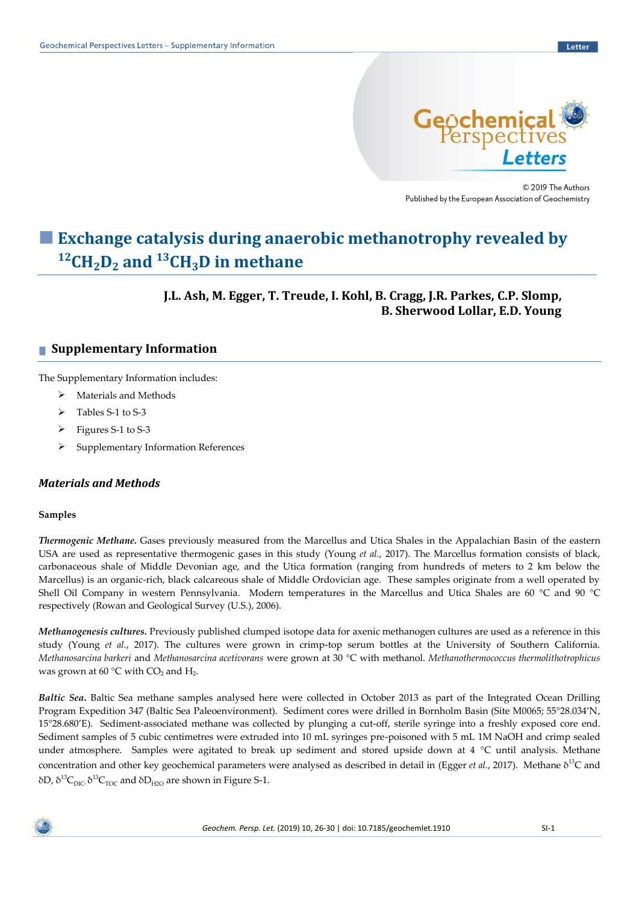

© 2019 The Authors Published by the European Association of Geochemistry

# ■ **Exchange catalysis during anaerobic methanotrophy revealed by <sup>12</sup>CH2D<sup>2</sup> and <sup>13</sup>CH3D in methane**

# **J.L. Ash, M. Egger, T. Treude, I. Kohl, B. Cragg, J.R. Parkes, C.P. Slomp, B. Sherwood Lollar, E.D. Young**

# **■ Supplementary Information**

The Supplementary Information includes:

- ➢ Materials and Methods
- ➢ Tables S-1 to S-3
- ➢ Figures S-1 to S-3
- ➢ Supplementary Information References

# *Materials and Methods*

### **Samples**

*Thermogenic Methane.* Gases previously measured from the Marcellus and Utica Shales in the Appalachian Basin of the eastern USA are used as representative thermogenic gases in this study (Young *et al.*, 2017). The Marcellus formation consists of black, carbonaceous shale of Middle Devonian age, and the Utica formation (ranging from hundreds of meters to 2 km below the Marcellus) is an organic-rich, black calcareous shale of Middle Ordovician age. These samples originate from a well operated by Shell Oil Company in western Pennsylvania. Modern temperatures in the Marcellus and Utica Shales are 60 °C and 90 °C respectively (Rowan and Geological Survey (U.S.), 2006).

*Methanogenesis cultures.* Previously published clumped isotope data for axenic methanogen cultures are used as a reference in this study (Young *et al.*, 2017). The cultures were grown in crimp-top serum bottles at the University of Southern California. *Methanosarcina barkeri* and *Methanosarcina acetivorans* were grown at 30 °C with methanol. *Methanothermococcus thermolithotrophicus* was grown at 60  $\rm{^{\circ}C}$  with CO<sub>2</sub> and H<sub>2</sub>.

*Baltic Sea***.** Baltic Sea methane samples analysed here were collected in October 2013 as part of the Integrated Ocean Drilling Program Expedition 347 (Baltic Sea Paleoenvironment). Sediment cores were drilled in Bornholm Basin (Site M0065; 55°28.034'N, 15°28.680'E). Sediment-associated methane was collected by plunging a cut-off, sterile syringe into a freshly exposed core end. Sediment samples of 5 cubic centimetres were extruded into 10 mL syringes pre-poisoned with 5 mL 1M NaOH and crimp sealed under atmosphere. Samples were agitated to break up sediment and stored upside down at 4 °C until analysis. Methane concentration and other key geochemical parameters were analysed as described in detail in (Egger *et al.*, 2017). Methane δ<sup>13</sup>C and δD,  $\delta^{13}C_{\text{DIC}}\delta^{13}C_{\text{TOC}}$  and  $\delta D_{\text{H2O}}$  are shown in Figure S-1.

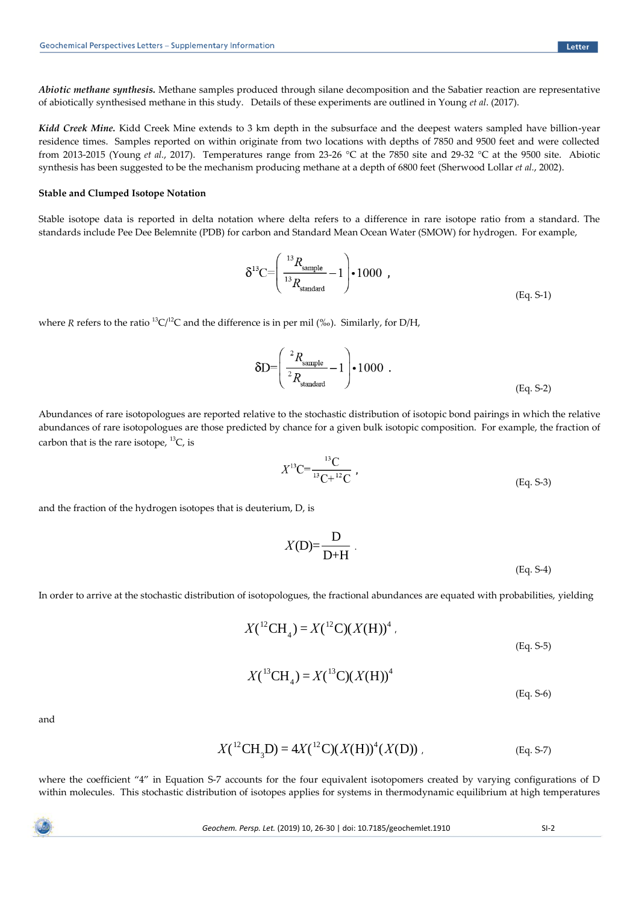*Abiotic methane synthesis.* Methane samples produced through silane decomposition and the Sabatier reaction are representative of abiotically synthesised methane in this study. Details of these experiments are outlined in Young *et al*. (2017).

*Kidd Creek Mine.* Kidd Creek Mine extends to 3 km depth in the subsurface and the deepest waters sampled have billion-year residence times. Samples reported on within originate from two locations with depths of 7850 and 9500 feet and were collected from 2013-2015 (Young *et al.*, 2017). Temperatures range from 23-26 °C at the 7850 site and 29-32 °C at the 9500 site. Abiotic synthesis has been suggested to be the mechanism producing methane at a depth of 6800 feet (Sherwood Lollar *et al.*, 2002).

#### **Stable and Clumped Isotope Notation**

Stable isotope data is reported in delta notation where delta refers to a difference in rare isotope ratio from a standard. The standards include Pee Dee Belemnite (PDB) for carbon and Standard Mean Ocean Water (SMOW) for hydrogen. For example,

$$
\delta^{13}C = \left(\frac{^{13}R_{\text{sample}}}{^{13}R_{\text{standard}}}-1\right) \cdot 1000 ,
$$
\n(Eq. S-1)

where *R* refers to the ratio  ${}^{13}C/{}^{12}C$  and the difference is in per mil (‰). Similarly, for D/H,

$$
\delta D = \left(\frac{{}^2 R_{\text{sample}}}{{}^2 R_{\text{standard}}}-1\right) \cdot 1000 \quad . \tag{Eq. S-2}
$$

Abundances of rare isotopologues are reported relative to the stochastic distribution of isotopic bond pairings in which the relative abundances of rare isotopologues are those predicted by chance for a given bulk isotopic composition. For example, the fraction of carbon that is the rare isotope,  ${}^{13}C$ , is

$$
X^{13}C = \frac{^{13}C}{^{13}C + ^{12}C} ,
$$
\n(Eq. S-3)

and the fraction of the hydrogen isotopes that is deuterium, D, is

$$
X(D)=\frac{D}{D+H}.
$$
\n(Eq. S-4)

In order to arrive at the stochastic distribution of isotopologues, the fractional abundances are equated with probabilities, yielding

$$
X({}^{12}\text{CH}_4) = X({}^{12}\text{C})(X(\text{H}))^4
$$
\n
$$
(Eq. S-5)
$$
\n
$$
X({}^{13}\text{CH}_4) = X({}^{13}\text{C})(X(\text{H}))^4
$$

and

$$
X({}^{12}\text{CH}_3\text{D}) = 4X({}^{12}\text{C})(X(\text{H}))^4(X(\text{D}))\tag{Eq. S-7}
$$

where the coefficient "4" in Equation S-7 accounts for the four equivalent isotopomers created by varying configurations of D within molecules. This stochastic distribution of isotopes applies for systems in thermodynamic equilibrium at high temperatures

(Eq. S-6)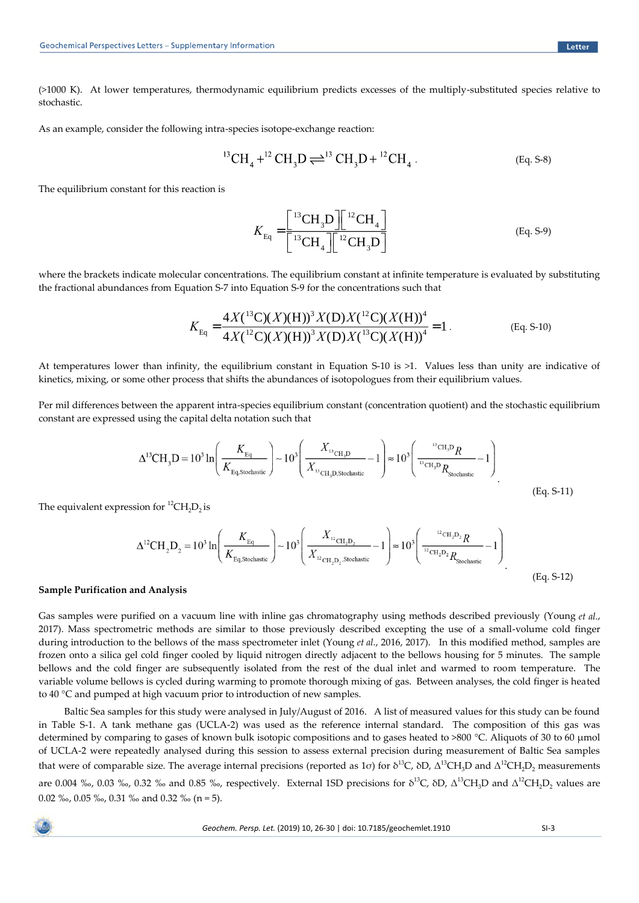(>1000 K). At lower temperatures, thermodynamic equilibrium predicts excesses of the multiply-substituted species relative to stochastic.

As an example, consider the following intra-species isotope-exchange reaction:

$$
{}^{13}\text{CH}_4 + {}^{12}\text{CH}_3\text{D} \rightleftharpoons {}^{13}\text{CH}_3\text{D} + {}^{12}\text{CH}_4. \tag{Eq. S-8}
$$

The equilibrium constant for this reaction is

$$
K_{\text{Eq}} = \frac{\left[ {}^{13}\text{CH}_3\text{D} \right] \left[ {}^{12}\text{CH}_4 \right]}{\left[ {}^{13}\text{CH}_4 \right] \left[ {}^{12}\text{CH}_3\text{D} \right]}
$$
(Eq. S-9)

where the brackets indicate molecular concentrations. The equilibrium constant at infinite temperature is evaluated by substituting the fractional abundances from Equation S-7 into Equation S-9 for the concentrations such that

$$
K_{\text{Eq}} = \frac{4X(^{13}\text{C})(X)(\text{H}))^{3} X(\text{D})X(^{12}\text{C})(X(\text{H}))^{4}}{4X(^{12}\text{C})(X)(\text{H}))^{3} X(\text{D})X(^{13}\text{C})(X(\text{H}))^{4}} = 1.
$$
 (Eq. S-10)

At temperatures lower than infinity, the equilibrium constant in Equation S-10 is >1. Values less than unity are indicative of kinetics, mixing, or some other process that shifts the abundances of isotopologues from their equilibrium values.

Per mil differences between the apparent intra-species equilibrium constant (concentration quotient) and the stochastic equilibrium constant are expressed using the capital delta notation such that

$$
\Delta^{13}CH_3D = 10^3 \ln \left(\frac{K_{\text{Eq}}}{K_{\text{Eq,Stochastic}}}\right) \sim 10^3 \left(\frac{X_{\text{13}_{\text{CH}_3D}}}{X_{\text{13}_{\text{CH}_3D,Stochastic}}}-1\right) \approx 10^3 \left(\frac{\text{13}_{\text{CH}_3D}R}{\text{13}_{\text{CH}_3D}R_{\text{Stochastic}}}-1\right)
$$
\n(Eq. S-11)

The equivalent expression for  ${}^{12}CH_2D_2$  is

$$
\Delta^{12}CH_2D_2 = 10^3 \ln \left(\frac{K_{\text{Eq}}}{K_{\text{Eq,Stochastic}}}\right) \sim 10^3 \left(\frac{X_{\text{12}_{\text{CH}_2D_2}}}{X_{\text{12}_{\text{CH}_2D_2},\text{Stochastic}}} - 1\right) \approx 10^3 \left(\frac{\text{12}_{\text{CH}_2D_2}R}{\text{12}_{\text{CH}_2D_2}R_{\text{Stochastic}}} - 1\right)
$$
\n(Eq. S-12)

#### **Sample Purification and Analysis**

Gas samples were purified on a vacuum line with inline gas chromatography using methods described previously (Young *et al.*, 2017). Mass spectrometric methods are similar to those previously described excepting the use of a small-volume cold finger during introduction to the bellows of the mass spectrometer inlet (Young *et al.*, 2016, 2017). In this modified method, samples are frozen onto a silica gel cold finger cooled by liquid nitrogen directly adjacent to the bellows housing for 5 minutes. The sample bellows and the cold finger are subsequently isolated from the rest of the dual inlet and warmed to room temperature. The variable volume bellows is cycled during warming to promote thorough mixing of gas. Between analyses, the cold finger is heated to 40 °C and pumped at high vacuum prior to introduction of new samples.

Baltic Sea samples for this study were analysed in July/August of 2016. A list of measured values for this study can be found in Table S-1. A tank methane gas (UCLA-2) was used as the reference internal standard. The composition of this gas was determined by comparing to gases of known bulk isotopic compositions and to gases heated to >800 °C. Aliquots of 30 to 60 μmol of UCLA-2 were repeatedly analysed during this session to assess external precision during measurement of Baltic Sea samples that were of comparable size. The average internal precisions (reported as 1σ) for δ<sup>13</sup>C, δD, Δ<sup>13</sup>CH<sub>3</sub>D and Δ<sup>12</sup>CH<sub>2</sub>D<sub>2</sub> measurements are 0.004 ‰, 0.03 ‰, 0.32 ‰ and 0.85 ‰, respectively. External 1SD precisions for  $\delta^{13}C$ ,  $\delta D$ ,  $\Delta^{13}CH_3D$  and  $\Delta^{12}CH_2D_2$  values are 0.02 ‰, 0.05 ‰, 0.31 ‰ and 0.32 ‰ (n = 5).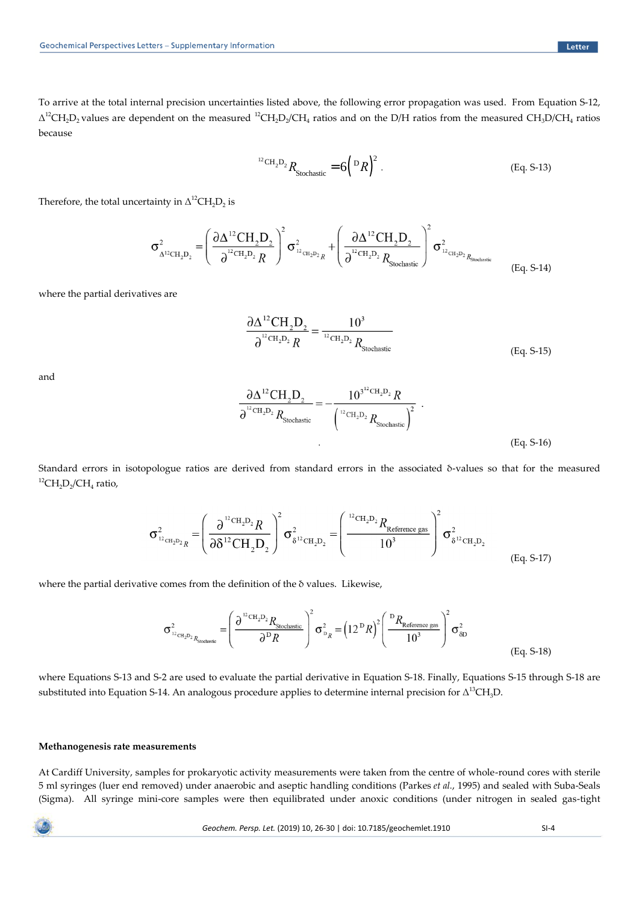To arrive at the total internal precision uncertainties listed above, the following error propagation was used. From Equation S-12,  $\Delta^{12}CH_2D_2$  values are dependent on the measured  $^{12}CH_2D_2/CH_4$  ratios and on the D/H ratios from the measured CH<sub>3</sub>D/CH<sub>4</sub> ratios because

$$
{}^{12}\text{CH}_2\text{D}_2 R_{\text{Stochastic}} = 6\left({}^{D}R\right)^2. \tag{Eq. S-13}
$$

Therefore, the total uncertainty in  $\Delta^{12}CH_2D_2$  is

$$
\sigma_{\Delta^{12}CH_2D_2}^2 = \left(\frac{\partial \Delta^{12} CH_2D_2}{\partial^{12} CH_2D_2 R}\right)^2 \sigma_{12_{CH_2D_2R}}^2 + \left(\frac{\partial \Delta^{12} CH_2D_2}{\partial^{12} CH_2D_2 R_{\text{Stochastic}}}\right)^2 \sigma_{12_{CH_2D_2R_{\text{Stochastic}}}}^2
$$
\n(Eq. S-14)

where the partial derivatives are

$$
\frac{\partial \Delta^{12} \text{CH}_2 \text{D}_2}{\partial^{12} \text{CH}_2 \text{D}_2 R} = \frac{10^3}{^{12} \text{CH}_2 \text{D}_2 R_{\text{Stochastic}}}
$$
(Eq. S-15)

and

$$
\frac{\partial \Delta^{12} \text{CH}_{2} \text{D}_{2}}{\partial^{12} \text{CH}_{2} \text{D}_{2} R_{\text{Stochastic}}} = -\frac{10^{3^{12} \text{CH}_{2} \text{D}_{2} } R}{\left(\frac{12 \text{CH}_{2} \text{D}_{2} }{10^{12} \text{H}_{2} \text{C} R_{\text{Stochastic}}}\right)^{2}} \tag{Eq. S-16}
$$

Standard errors in isotopologue ratios are derived from standard errors in the associated δ-values so that for the measured  ${}^{12}CH_2D_2/CH_4$  ratio,

$$
\sigma_{12_{\text{CH}_2D_2R}}^2 = \left(\frac{\partial^{12_{\text{CH}_2D_2R}}}{\partial \delta^{12_{\text{CH}_2D_2}}}\right)^2 \sigma_{\delta^{12_{\text{CH}_2D_2}}}^2 = \left(\frac{12_{\text{CH}_2D_2R_{\text{Reference gas}}}}{10^3}\right)^2 \sigma_{\delta^{12_{\text{CH}_2D_2}}}^2
$$
\n(Eq. S-17)

where the partial derivative comes from the definition of the δ values. Likewise,

$$
\sigma_{12_{\text{CH}_2D_2}}^2 R_{\text{Stochastic}} = \left(\frac{\partial^{12_{\text{CH}_2D_2}} R_{\text{Stochastic}}}{\partial^D R}\right)^2 \sigma_{P_R}^2 = \left(12^{\text{D}} R\right)^2 \left(\frac{P R_{\text{Reference gas}}}{10^3}\right)^2 \sigma_{\delta D}^2
$$
\n(Eq. S-18)

where Equations S-13 and S-2 are used to evaluate the partial derivative in Equation S-18. Finally, Equations S-15 through S-18 are substituted into Equation S-14. An analogous procedure applies to determine internal precision for  $\Delta^{13}CH_3D$ .

#### **Methanogenesis rate measurements**

At Cardiff University, samples for prokaryotic activity measurements were taken from the centre of whole-round cores with sterile 5 ml syringes (luer end removed) under anaerobic and aseptic handling conditions (Parkes *et al.*, 1995) and sealed with Suba-Seals (Sigma). All syringe mini-core samples were then equilibrated under anoxic conditions (under nitrogen in sealed gas-tight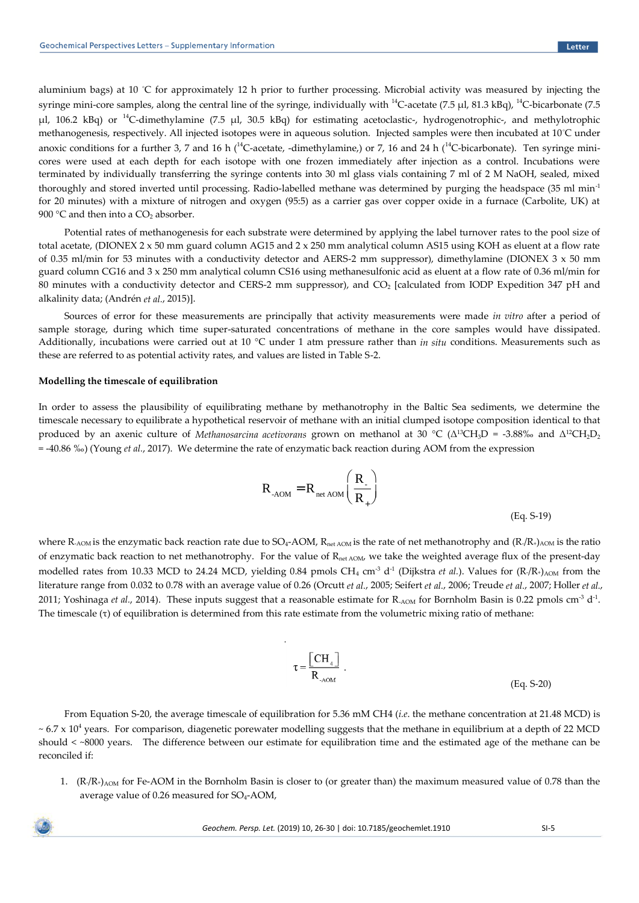aluminium bags) at 10 °C for approximately 12 h prior to further processing. Microbial activity was measured by injecting the syringe mini-core samples, along the central line of the syringe, individually with  $^{14}$ C-acetate (7.5 µl, 81.3 kBq),  $^{14}$ C-bicarbonate (7.5  $\mu$ l, 106.2 kBq) or <sup>14</sup>C-dimethylamine (7.5  $\mu$ l, 30.5 kBq) for estimating acetoclastic-, hydrogenotrophic-, and methylotrophic methanogenesis, respectively. All injected isotopes were in aqueous solution. Injected samples were then incubated at 10°C under anoxic conditions for a further 3, 7 and 16 h ( $^{14}$ C-acetate, -dimethylamine,) or 7, 16 and 24 h ( $^{14}$ C-bicarbonate). Ten syringe minicores were used at each depth for each isotope with one frozen immediately after injection as a control. Incubations were terminated by individually transferring the syringe contents into 30 ml glass vials containing 7 ml of 2 M NaOH, sealed, mixed thoroughly and stored inverted until processing. Radio-labelled methane was determined by purging the headspace (35 ml min<sup>-1</sup> for 20 minutes) with a mixture of nitrogen and oxygen (95:5) as a carrier gas over copper oxide in a furnace (Carbolite, UK) at 900 °C and then into a  $CO<sub>2</sub>$  absorber.

Potential rates of methanogenesis for each substrate were determined by applying the label turnover rates to the pool size of total acetate, (DIONEX 2 x 50 mm guard column AG15 and 2 x 250 mm analytical column AS15 using KOH as eluent at a flow rate of 0.35 ml/min for 53 minutes with a conductivity detector and AERS-2 mm suppressor), dimethylamine (DIONEX  $3 \times 50$  mm guard column CG16 and 3 x 250 mm analytical column CS16 using methanesulfonic acid as eluent at a flow rate of 0.36 ml/min for 80 minutes with a conductivity detector and CERS-2 mm suppressor), and CO<sub>2</sub> [calculated from IODP Expedition 347 pH and alkalinity data; (Andrén *et al.*, 2015)].

Sources of error for these measurements are principally that activity measurements were made *in vitro* after a period of sample storage, during which time super-saturated concentrations of methane in the core samples would have dissipated. Additionally, incubations were carried out at 10 °C under 1 atm pressure rather than *in situ* conditions. Measurements such as these are referred to as potential activity rates, and values are listed in Table S-2.

#### **Modelling the timescale of equilibration**

In order to assess the plausibility of equilibrating methane by methanotrophy in the Baltic Sea sediments, we determine the timescale necessary to equilibrate a hypothetical reservoir of methane with an initial clumped isotope composition identical to that produced by an axenic culture of *Methanosarcina acetivorans* grown on methanol at 30 °C (Δ<sup>13</sup>CH3D = -3.88‰ and Δ<sup>12</sup>CH2D<sup>2</sup> = -40.86 ‰) (Young *et al.*, 2017). We determine the rate of enzymatic back reaction during AOM from the expression

$$
R_{\text{AOM}} = R_{\text{net AOM}} \left( \frac{R_{\text{AOM}}}{R_{\text{A}} \right)
$$

(Eq. S-19)

where R<sub>-AOM</sub> is the enzymatic back reaction rate due to SO<sub>4</sub>-AOM, R<sub>net AOM</sub> is the rate of net methanotrophy and (R-/R+)<sub>AOM</sub> is the ratio of enzymatic back reaction to net methanotrophy. For the value of R<sub>net AOM</sub>, we take the weighted average flux of the present-day modelled rates from 10.33 MCD to 24.24 MCD, yielding 0.84 pmols CH<sub>4</sub> cm<sup>-3</sup> d<sup>-1</sup> (Dijkstra *et al.*). Values for (R/R+)<sub>AOM</sub> from the literature range from 0.032 to 0.78 with an average value of 0.26 (Orcutt *et al.*, 2005; Seifert *et al.*, 2006; Treude *et al.*, 2007; Holler *et al.*, 2011; Yoshinaga *et al.*, 2014). These inputs suggest that a reasonable estimate for  $R_{AOM}$  for Bornholm Basin is 0.22 pmols cm<sup>-3</sup> d<sup>-1</sup>. The timescale (τ) of equilibration is determined from this rate estimate from the volumetric mixing ratio of methane:

.

$$
\tau = \frac{\left[ \text{CH}_4 \right]}{\text{R}_{\text{AOM}}} \tag{Eq. S-20}
$$

From Equation S-20, the average timescale of equilibration for 5.36 mM CH4 (*i.e*. the methane concentration at 21.48 MCD) is  $\sim 6.7 \times 10^4$  years. For comparison, diagenetic porewater modelling suggests that the methane in equilibrium at a depth of 22 MCD should < ~8000 years. The difference between our estimate for equilibration time and the estimated age of the methane can be reconciled if:

1.  $(R/R<sub>+</sub>)<sub>AOM</sub>$  for Fe-AOM in the Bornholm Basin is closer to (or greater than) the maximum measured value of 0.78 than the average value of  $0.26$  measured for  $SO_4$ -AOM,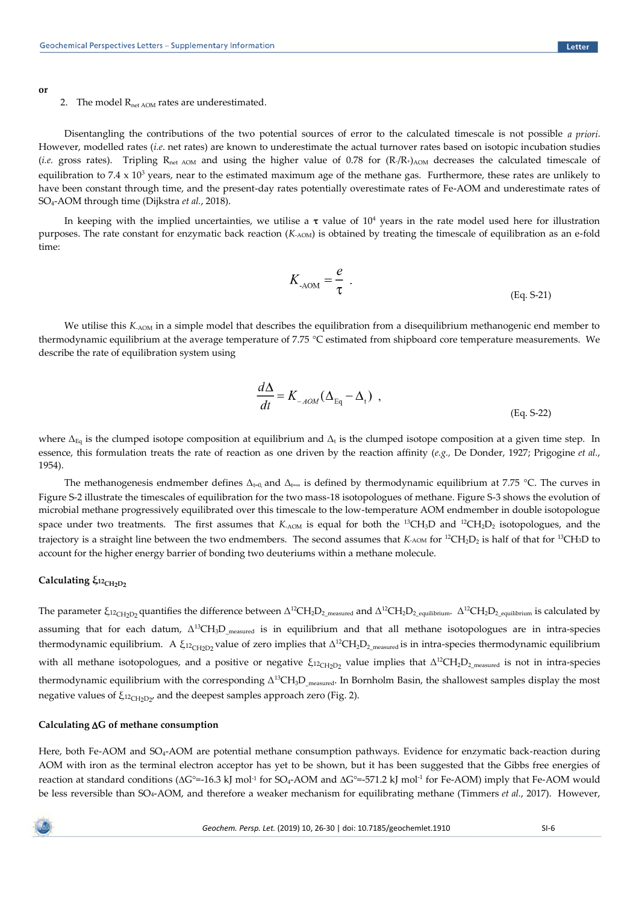**or**

#### 2. The model  $R_{net AOM}$  rates are underestimated.

Disentangling the contributions of the two potential sources of error to the calculated timescale is not possible *a priori*. However, modelled rates (*i.e*. net rates) are known to underestimate the actual turnover rates based on isotopic incubation studies (*i.e.* gross rates). Tripling  $R_{net AOM}$  and using the higher value of 0.78 for  $(R/R_{+})_{AOM}$  decreases the calculated timescale of equilibration to 7.4  $\times$  10<sup>3</sup> years, near to the estimated maximum age of the methane gas. Furthermore, these rates are unlikely to have been constant through time, and the present-day rates potentially overestimate rates of Fe-AOM and underestimate rates of SO4-AOM through time (Dijkstra *et al.*, 2018).

In keeping with the implied uncertainties, we utilise a  $\tau$  value of 10<sup>4</sup> years in the rate model used here for illustration purposes. The rate constant for enzymatic back reaction (*K<sub>-AOM</sub>*) is obtained by treating the timescale of equilibration as an e-fold time:

$$
K_{\text{AOM}} = \frac{e}{\tau} \tag{Eq. S-21}
$$

We utilise this  $K_{AOM}$  in a simple model that describes the equilibration from a disequilibrium methanogenic end member to thermodynamic equilibrium at the average temperature of 7.75 °C estimated from shipboard core temperature measurements. We describe the rate of equilibration system using

$$
\frac{d\Delta}{dt} = K_{-AOM}(\Delta_{\text{Eq}} - \Delta_t) ,
$$
\n(Eq. S-22)

where  $\Delta_{\text{Eq}}$  is the clumped isotope composition at equilibrium and  $\Delta_t$  is the clumped isotope composition at a given time step. In essence, this formulation treats the rate of reaction as one driven by the reaction affinity (*e.g.,* De Donder, 1927; Prigogine *et al.*, 1954).

The methanogenesis endmember defines  $\Delta_{t=0}$  and  $\Delta_{t=0}$  is defined by thermodynamic equilibrium at 7.75 °C. The curves in Figure S-2 illustrate the timescales of equilibration for the two mass-18 isotopologues of methane. Figure S-3 shows the evolution of microbial methane progressively equilibrated over this timescale to the low-temperature AOM endmember in double isotopologue space under two treatments. The first assumes that  $K_{AOM}$  is equal for both the <sup>13</sup>CH<sub>3</sub>D and <sup>12</sup>CH<sub>2</sub>D<sub>2</sub> isotopologues, and the trajectory is a straight line between the two endmembers. The second assumes that *K*-AOM for <sup>12</sup>CH<sub>2</sub>D<sub>2</sub> is half of that for <sup>13</sup>CH<sub>3</sub>D to account for the higher energy barrier of bonding two deuteriums within a methane molecule.

# **Calculating** *ξ*<sub>12CH2D2</sub>

The parameter  $\xi_{12\rm CH_2D_2}$  quantifies the difference between  $\Delta^{12}\rm CH_2D_{2\_measured}$  and  $\Delta^{12}\rm CH_2D_{2\_equilibrium}$ .  $\Delta^{12}\rm CH_2D_{2\_equilibrium}$  is calculated by assuming that for each datum,  $\Delta^{13}CH_3D_{measured}$  is in equilibrium and that all methane isotopologues are in intra-species thermodynamic equilibrium. A  $\xi_{12\text{CH}_2D_2}$  value of zero implies that  $\Delta^{12}CH_2D_{2_{\text{measured}}}$  is in intra-species thermodynamic equilibrium with all methane isotopologues, and a positive or negative  $\xi_{12CH_2D_2}$  value implies that  $\Delta^{12}CH_2D_{2_{\text{measured}}}$  is not in intra-species thermodynamic equilibrium with the corresponding  $\Delta^{13}CH_3D_{measured}$ . In Bornholm Basin, the shallowest samples display the most negative values of  $\xi_{\rm ^{12}Ch_2D_2'}$  and the deepest samples approach zero (Fig. 2).

### **Calculating G of methane consumption**

Here, both Fe-AOM and SO<sub>4</sub>-AOM are potential methane consumption pathways. Evidence for enzymatic back-reaction during AOM with iron as the terminal electron acceptor has yet to be shown, but it has been suggested that the Gibbs free energies of reaction at standard conditions ( $\Delta G^{\circ}=16.3$  kJ mol<sup>-1</sup> for SO<sub>4</sub>-AOM and  $\Delta G^{\circ}=571.2$  kJ mol<sup>-1</sup> for Fe-AOM) imply that Fe-AOM would be less reversible than SO4-AOM, and therefore a weaker mechanism for equilibrating methane (Timmers *et al.*, 2017). However,

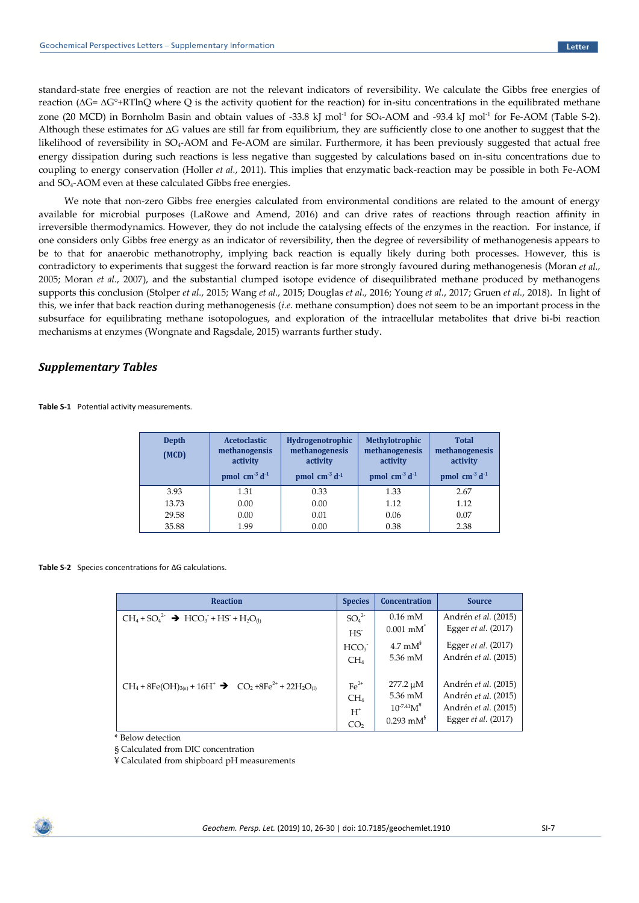standard-state free energies of reaction are not the relevant indicators of reversibility. We calculate the Gibbs free energies of reaction ( $\Delta G = \Delta G^{\circ} + RT \ln Q$  where Q is the activity quotient for the reaction) for in-situ concentrations in the equilibrated methane zone (20 MCD) in Bornholm Basin and obtain values of  $-33.8 \text{ kJ}$  mol<sup>-1</sup> for SO<sub>4</sub>-AOM and  $-93.4 \text{ kJ}$  mol<sup>-1</sup> for Fe-AOM (Table S-2). Although these estimates for  $\Delta G$  values are still far from equilibrium, they are sufficiently close to one another to suggest that the likelihood of reversibility in SO<sub>4</sub>-AOM and Fe-AOM are similar. Furthermore, it has been previously suggested that actual free energy dissipation during such reactions is less negative than suggested by calculations based on in-situ concentrations due to coupling to energy conservation (Holler *et al.*, 2011). This implies that enzymatic back-reaction may be possible in both Fe-AOM and SO4-AOM even at these calculated Gibbs free energies.

We note that non-zero Gibbs free energies calculated from environmental conditions are related to the amount of energy available for microbial purposes (LaRowe and Amend, 2016) and can drive rates of reactions through reaction affinity in irreversible thermodynamics. However, they do not include the catalysing effects of the enzymes in the reaction. For instance, if one considers only Gibbs free energy as an indicator of reversibility, then the degree of reversibility of methanogenesis appears to be to that for anaerobic methanotrophy, implying back reaction is equally likely during both processes. However, this is contradictory to experiments that suggest the forward reaction is far more strongly favoured during methanogenesis (Moran *et al.*, 2005; Moran *et al.*, 2007), and the substantial clumped isotope evidence of disequilibrated methane produced by methanogens supports this conclusion (Stolper *et al.*, 2015; Wang *et al.*, 2015; Douglas *et al.*, 2016; Young *et al.*, 2017; Gruen *et al.*, 2018). In light of this, we infer that back reaction during methanogenesis (*i.e*. methane consumption) does not seem to be an important process in the subsurface for equilibrating methane isotopologues, and exploration of the intracellular metabolites that drive bi-bi reaction mechanisms at enzymes (Wongnate and Ragsdale, 2015) warrants further study.

### *Supplementary Tables*

**Table S-1** Potential activity measurements.

| Depth<br>(MCD) | <b>Acetoclastic</b><br>methanogensis<br>activity<br>pmol $\text{cm}^3 \text{ d}^1$ | <b>Hydrogenotrophic</b><br>methanogenesis<br>activity<br>pmol $cm-3 d-1$ | Methylotrophic<br>methanogenesis<br>activity<br>pmol $cm-3 d-1$ | <b>Total</b><br>methanogenesis<br>activity<br>pmol cm <sup>-3</sup> d <sup>-1</sup> |
|----------------|------------------------------------------------------------------------------------|--------------------------------------------------------------------------|-----------------------------------------------------------------|-------------------------------------------------------------------------------------|
| 3.93           | 1.31                                                                               | 0.33                                                                     | 1.33                                                            | 2.67                                                                                |
| 13.73          | 0.00                                                                               | 0.00                                                                     | 1.12                                                            | 1.12                                                                                |
| 29.58          | 0.00                                                                               | 0.01                                                                     | 0.06                                                            | 0.07                                                                                |
| 35.88          | 1.99                                                                               | 0.00                                                                     | 0.38                                                            | 2.38                                                                                |

#### **Table S-2** Species concentrations for ΔG calculations.

| <b>Reaction</b>                                                                       | <b>Species</b>               | <b>Concentration</b> | <b>Source</b>         |
|---------------------------------------------------------------------------------------|------------------------------|----------------------|-----------------------|
| $CH_4 + SO_4^2$ $\rightarrow$ HCO <sub>3</sub> + HS + H <sub>2</sub> O <sub>(l)</sub> | SO <sub>4</sub> <sup>2</sup> | $0.16 \text{ mM}$    | Andrén et al. (2015)  |
|                                                                                       | HS                           | $0.001$ mM $2$       | Egger et al. (2017)   |
|                                                                                       | HCO <sub>3</sub>             | $4.7 \text{ mM}^3$   | Egger $et$ al. (2017) |
|                                                                                       | CH <sub>4</sub>              | 5.36 mM              | Andrén et al. (2015)  |
| $CH_4 + 8Fe(OH)_{3(s)} + 16H^+$ $\rightarrow$ $CO_2 + 8Fe^{2+} + 22H_2O_{(1)}$        | $\text{Fe}^{2+}$             | $277.2 \mu M$        | Andrén et al. (2015)  |
|                                                                                       | CH <sub>4</sub>              | 5.36 mM              | Andrén et al. (2015)  |
|                                                                                       | $H^*$                        | $10^{-7.41}M^*$      | Andrén et al. (2015)  |
|                                                                                       | CO <sub>2</sub>              | $0.293 \text{ mM}^3$ | Egger et al. (2017)   |

\* Below detection

§ Calculated from DIC concentration

¥ Calculated from shipboard pH measurements

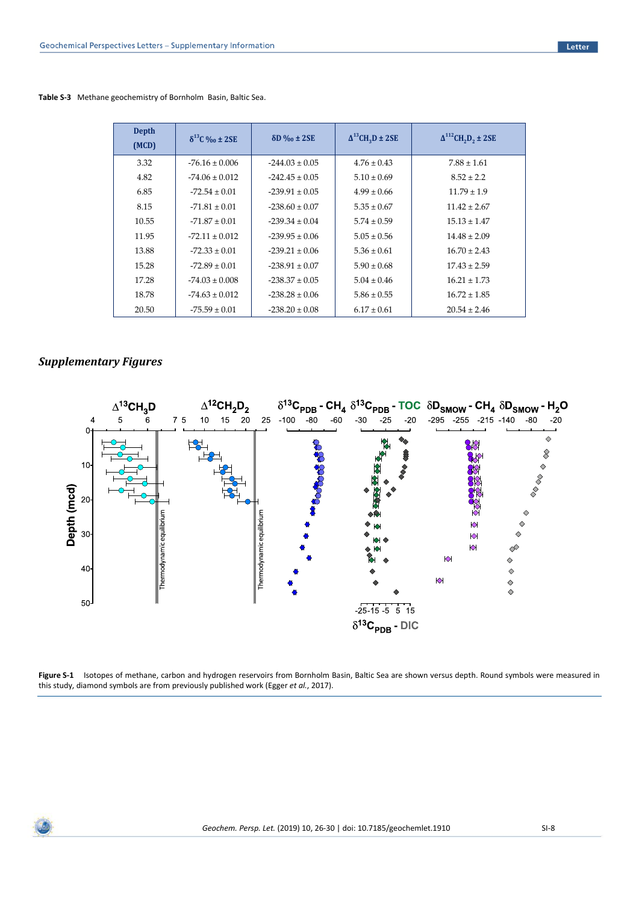|  | Table S-3 Methane geochemistry of Bornholm Basin, Baltic Sea. |  |
|--|---------------------------------------------------------------|--|
|--|---------------------------------------------------------------|--|

| <b>Depth</b><br>(MCD) | $\delta^{13}$ C ‰ ± 2SE | $\delta$ D ‰ ± 2SE | $\Delta^{13}$ CH <sub>2</sub> D ± 2SE | $\Delta^{112}$ CH <sub>2</sub> D <sub>2</sub> ± 2SE |
|-----------------------|-------------------------|--------------------|---------------------------------------|-----------------------------------------------------|
| 3.32                  | $-76.16 \pm 0.006$      | $-244.03 \pm 0.05$ | $4.76 \pm 0.43$                       | $7.88 \pm 1.61$                                     |
| 4.82                  | $-74.06 \pm 0.012$      | $-242.45 \pm 0.05$ | $5.10 \pm 0.69$                       | $8.52 \pm 2.2$                                      |
| 6.85                  | $-72.54 \pm 0.01$       | $-239.91 \pm 0.05$ | $4.99 \pm 0.66$                       | $11.79 \pm 1.9$                                     |
| 8.15                  | $-71.81 \pm 0.01$       | $-238.60 \pm 0.07$ | $5.35 \pm 0.67$                       | $11.42 \pm 2.67$                                    |
| 10.55                 | $-71.87 \pm 0.01$       | $-239.34 \pm 0.04$ | $5.74 \pm 0.59$                       | $15.13 \pm 1.47$                                    |
| 11.95                 | $-72.11 \pm 0.012$      | $-239.95 \pm 0.06$ | $5.05 \pm 0.56$                       | $14.48 \pm 2.09$                                    |
| 13.88                 | $-72.33 \pm 0.01$       | $-239.21 \pm 0.06$ | $5.36 \pm 0.61$                       | $16.70 \pm 2.43$                                    |
| 15.28                 | $-72.89 \pm 0.01$       | $-238.91 \pm 0.07$ | $5.90 \pm 0.68$                       | $17.43 \pm 2.59$                                    |
| 17.28                 | $-74.03 \pm 0.008$      | $-238.37 \pm 0.05$ | $5.04 \pm 0.46$                       | $16.21 \pm 1.73$                                    |
| 18.78                 | $-74.63 \pm 0.012$      | $-238.28 \pm 0.06$ | $5.86 \pm 0.55$                       | $16.72 \pm 1.85$                                    |
| 20.50                 | $-75.59 \pm 0.01$       | $-238.20 \pm 0.08$ | $6.17 \pm 0.61$                       | $20.54 \pm 2.46$                                    |

## *Supplementary Figures*



**Figure S-1** Isotopes of methane, carbon and hydrogen reservoirs from Bornholm Basin, Baltic Sea are shown versus depth. Round symbols were measured in this study, diamond symbols are from previously published work (Egger *et al.*, 2017).

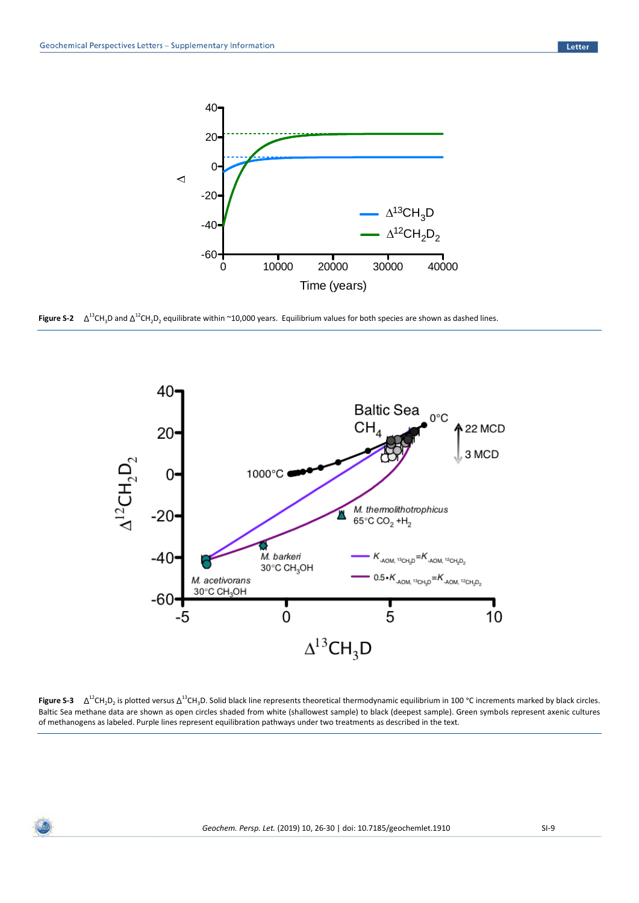

**Figure S-2**  $\Delta^{13}$ CH<sub>3</sub>D and  $\Delta^{12}$ CH<sub>2</sub>D<sub>2</sub> equilibrate within ~10,000 years. Equilibrium values for both species are shown as dashed lines.



**Figure S-3**  $\Delta^{12}$ CH<sub>2</sub>D<sub>2</sub> is plotted versus  $\Delta^{13}$ CH<sub>3</sub>D. Solid black line represents theoretical thermodynamic equilibrium in 100 °C increments marked by black circles. Baltic Sea methane data are shown as open circles shaded from white (shallowest sample) to black (deepest sample). Green symbols represent axenic cultures of methanogens as labeled. Purple lines represent equilibration pathways under two treatments as described in the text.